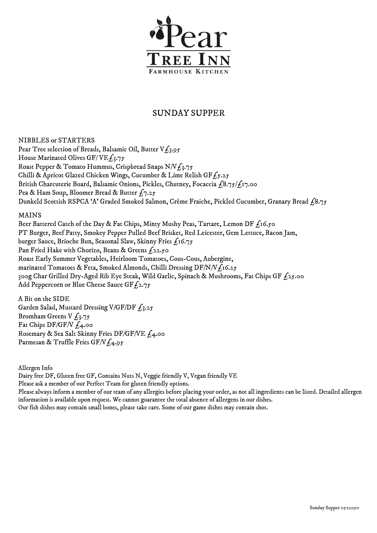

## SUNDAY SUPPER

NIBBLES or STARTERS Pear Tree selection of Breads, Balsamic Oil, Butter  $V_{L_3}^2$ .95 House Marinated Olives GF/VE $f_3$ .75 Roast Pepper & Tomato Hummus, Crispbread Snaps N/V£3.75 Chilli & Apricot Glazed Chicken Wings, Cucumber & Lime Relish GF $f_5.25$ British Charcuterie Board, Balsamic Onions, Pickles, Chutney, Focaccia  $\frac{68.75}{11.00}$ Pea & Ham Soup, Bloomer Bread & Butter  $f_7.25$ Dunkeld Scottish RSPCA 'A' Graded Smoked Salmon, Crème Fraiche, Pickled Cucumber, Granary Bread £8.75

## MAINS

Beer Battered Catch of the Day & Fat Chips, Minty Mushy Peas, Tartare, Lemon DF  $f_1$ 6.50 PT Burger, Beef Patty, Smokey Pepper Pulled Beef Brisket, Red Leicester, Gem Lettuce, Bacon Jam, burger Sauce, Brioche Bun, Seasonal Slaw, Skinny Fries £16.75 Pan Fried Hake with Chorizo, Beans & Greens  $f_2$ 2.50 Roast Early Summer Vegetables, Heirloom Tomatoes, Cous-Cous, Aubergine, marinated Tomatoes & Feta, Smoked Almonds, Chilli Dressing DF/N/V $f_1$ 16.25 300g Char Grilled Dry-Aged Rib Eye Steak, Wild Garlic, Spinach & Mushrooms, Fat Chips GF  $f_2$ 5.00 Add Peppercorn or Blue Cheese Sauce GF $f_2$ .75

A Bit on the SIDE Garden Salad, Mustard Dressing V/GF/DF  $f_3.25$ Bromham Greens V  $f_3.75$ Fat Chips DF/GF/V  $f_4$ .00 Rosemary & Sea Salt Skinny Fries DF/GF/VE £4.00 Parmesan & Truffle Fries GF/V $f_4.95$ 

Allergen Info

Dairy free DF, Gluten free GF, Contains Nuts N, Veggie friendly V, Vegan friendly VE

Please ask a member of our Perfect Team for gluten friendly options.

Please always inform a member of our team of any allergies before placing your order, as not all ingredients can be listed. Detailed allergen information is available upon request. We cannot guarantee the total absence of allergens in our dishes.

Our fish dishes may contain small bones, please take care. Some of our game dishes may contain shot.